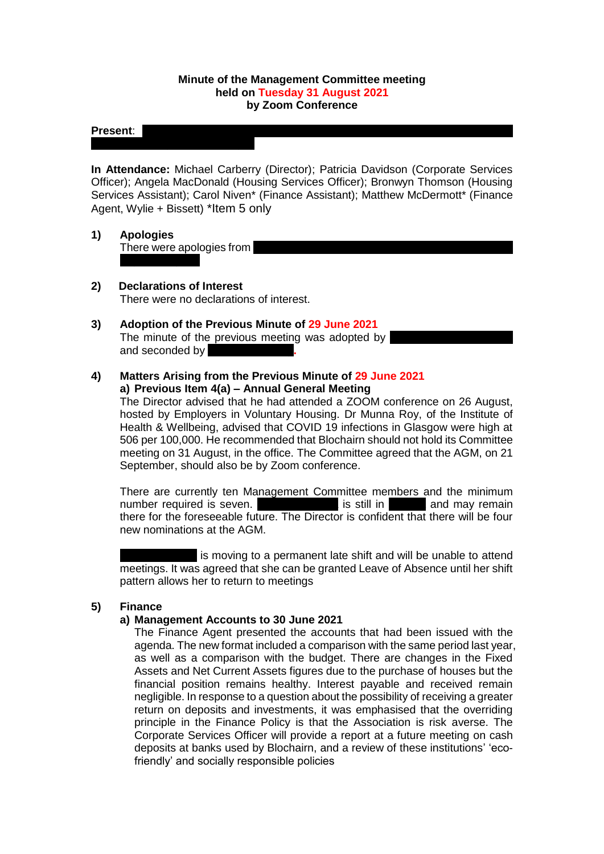### **Minute of the Management Committee meeting held on Tuesday 31 August 2021 by Zoom Conference**

#### **Present:** N

**In Attendance:** Michael Carberry (Director); Patricia Davidson (Corporate Services Officer); Angela MacDonald (Housing Services Officer); Bronwyn Thomson (Housing Services Assistant); Carol Niven\* (Finance Assistant); Matthew McDermott\* (Finance Agent, Wylie + Bissett) \*Item 5 only

- **1) Apologies** There were apologies from
- **2) Declarations of Interest** There were no declarations of interest.
- **3) Adoption of the Previous Minute of 29 June 2021** The minute of the previous meeting was adopted by and seconded by
- **4) Matters Arising from the Previous Minute of 29 June 2021 a) Previous Item 4(a) – Annual General Meeting**

The Director advised that he had attended a ZOOM conference on 26 August, hosted by Employers in Voluntary Housing. Dr Munna Roy, of the Institute of Health & Wellbeing, advised that COVID 19 infections in Glasgow were high at 506 per 100,000. He recommended that Blochairn should not hold its Committee meeting on 31 August, in the office. The Committee agreed that the AGM, on 21 September, should also be by Zoom conference.

There are currently ten Management Committee members and the minimum number required is seven. The is still in Tana and may remain there for the foreseeable future. The Director is confident that there will be four new nominations at the AGM.

is moving to a permanent late shift and will be unable to attend meetings. It was agreed that she can be granted Leave of Absence until her shift pattern allows her to return to meetings

### **5) Finance**

### **a) Management Accounts to 30 June 2021**

The Finance Agent presented the accounts that had been issued with the agenda. The new format included a comparison with the same period last year, as well as a comparison with the budget. There are changes in the Fixed Assets and Net Current Assets figures due to the purchase of houses but the financial position remains healthy. Interest payable and received remain negligible. In response to a question about the possibility of receiving a greater return on deposits and investments, it was emphasised that the overriding principle in the Finance Policy is that the Association is risk averse. The Corporate Services Officer will provide a report at a future meeting on cash deposits at banks used by Blochairn, and a review of these institutions' 'ecofriendly' and socially responsible policies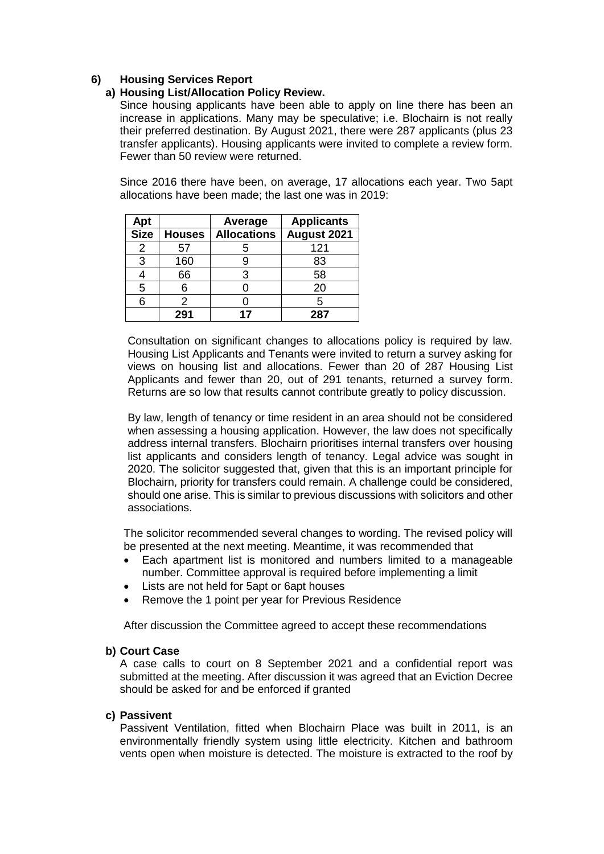## **6) Housing Services Report**

### **a) Housing List/Allocation Policy Review.**

Since housing applicants have been able to apply on line there has been an increase in applications. Many may be speculative; i.e. Blochairn is not really their preferred destination. By August 2021, there were 287 applicants (plus 23 transfer applicants). Housing applicants were invited to complete a review form. Fewer than 50 review were returned.

Since 2016 there have been, on average, 17 allocations each year. Two 5apt allocations have been made; the last one was in 2019:

| Apt         |               | Average            | <b>Applicants</b> |
|-------------|---------------|--------------------|-------------------|
| <b>Size</b> | <b>Houses</b> | <b>Allocations</b> | August 2021       |
|             | 57            | 5                  | 121               |
| 3           | 160           | 9                  | 83                |
|             | 66            | 3                  | 58                |
| 5           |               |                    | 20                |
| 6           | 2             |                    |                   |
|             | 291           |                    | 287               |

Consultation on significant changes to allocations policy is required by law. Housing List Applicants and Tenants were invited to return a survey asking for views on housing list and allocations. Fewer than 20 of 287 Housing List Applicants and fewer than 20, out of 291 tenants, returned a survey form. Returns are so low that results cannot contribute greatly to policy discussion.

By law, length of tenancy or time resident in an area should not be considered when assessing a housing application. However, the law does not specifically address internal transfers. Blochairn prioritises internal transfers over housing list applicants and considers length of tenancy. Legal advice was sought in 2020. The solicitor suggested that, given that this is an important principle for Blochairn, priority for transfers could remain. A challenge could be considered, should one arise. This is similar to previous discussions with solicitors and other associations.

The solicitor recommended several changes to wording. The revised policy will be presented at the next meeting. Meantime, it was recommended that

- Each apartment list is monitored and numbers limited to a manageable number. Committee approval is required before implementing a limit
- Lists are not held for 5apt or 6apt houses
- Remove the 1 point per year for Previous Residence

After discussion the Committee agreed to accept these recommendations

### **b) Court Case**

A case calls to court on 8 September 2021 and a confidential report was submitted at the meeting. After discussion it was agreed that an Eviction Decree should be asked for and be enforced if granted

### **c) Passivent**

Passivent Ventilation, fitted when Blochairn Place was built in 2011, is an environmentally friendly system using little electricity. Kitchen and bathroom vents open when moisture is detected. The moisture is extracted to the roof by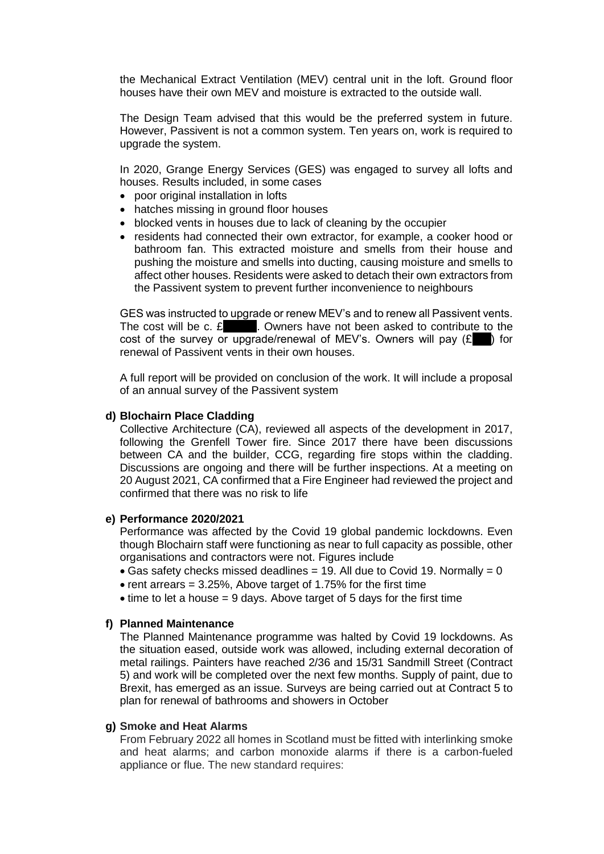the Mechanical Extract Ventilation (MEV) central unit in the loft. Ground floor houses have their own MEV and moisture is extracted to the outside wall.

The Design Team advised that this would be the preferred system in future. However, Passivent is not a common system. Ten years on, work is required to upgrade the system.

In 2020, Grange Energy Services (GES) was engaged to survey all lofts and houses. Results included, in some cases

- poor original installation in lofts
- hatches missing in ground floor houses
- blocked vents in houses due to lack of cleaning by the occupier
- residents had connected their own extractor, for example, a cooker hood or bathroom fan. This extracted moisture and smells from their house and pushing the moisture and smells into ducting, causing moisture and smells to affect other houses. Residents were asked to detach their own extractors from the Passivent system to prevent further inconvenience to neighbours

GES was instructed to upgrade or renew MEV's and to renew all Passivent vents. The cost will be c.  $\mathbf{E}$   $\blacksquare$  . Owners have not been asked to contribute to the cost of the survey or upgrade/renewal of MEV's. Owners will pay  $(E)$  for renewal of Passivent vents in their own houses.

A full report will be provided on conclusion of the work. It will include a proposal of an annual survey of the Passivent system

#### **d) Blochairn Place Cladding**

Collective Architecture (CA), reviewed all aspects of the development in 2017, following the Grenfell Tower fire. Since 2017 there have been discussions between CA and the builder, CCG, regarding fire stops within the cladding. Discussions are ongoing and there will be further inspections. At a meeting on 20 August 2021, CA confirmed that a Fire Engineer had reviewed the project and confirmed that there was no risk to life

#### **e) Performance 2020/2021**

Performance was affected by the Covid 19 global pandemic lockdowns. Even though Blochairn staff were functioning as near to full capacity as possible, other organisations and contractors were not. Figures include

- Gas safety checks missed deadlines  $= 19$ . All due to Covid 19. Normally  $= 0$
- rent arrears  $= 3.25\%$ , Above target of 1.75% for the first time
- $\bullet$  time to let a house = 9 days. Above target of 5 days for the first time

#### **f) Planned Maintenance**

The Planned Maintenance programme was halted by Covid 19 lockdowns. As the situation eased, outside work was allowed, including external decoration of metal railings. Painters have reached 2/36 and 15/31 Sandmill Street (Contract 5) and work will be completed over the next few months. Supply of paint, due to Brexit, has emerged as an issue. Surveys are being carried out at Contract 5 to plan for renewal of bathrooms and showers in October

### **g) Smoke and Heat Alarms**

From February 2022 all homes in Scotland must be fitted with interlinking smoke and heat alarms; and carbon monoxide alarms if there is a carbon-fueled appliance or flue. The new standard requires: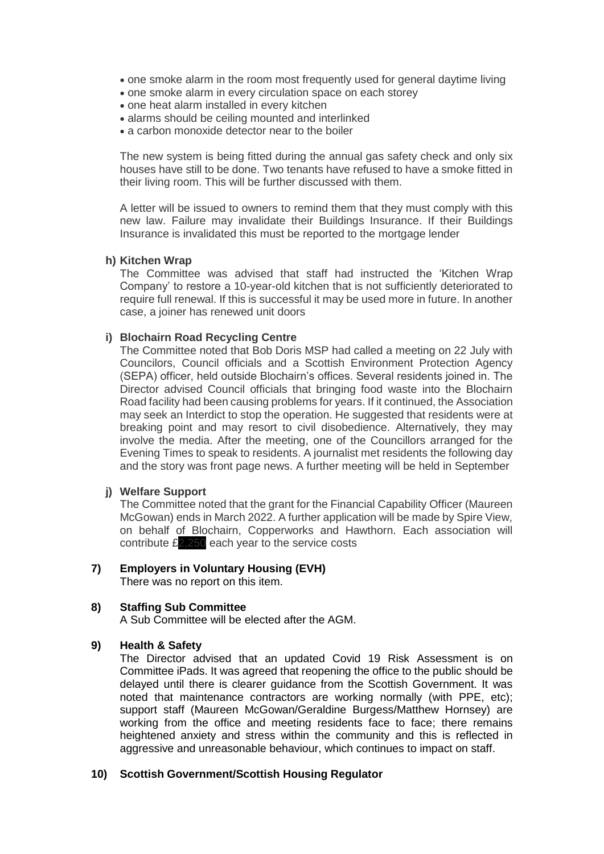- one smoke alarm in the room most frequently used for general daytime living
- one smoke alarm in every circulation space on each storey
- one heat alarm installed in every kitchen
- alarms should be ceiling mounted and interlinked
- a carbon monoxide detector near to the boiler

The new system is being fitted during the annual gas safety check and only six houses have still to be done. Two tenants have refused to have a smoke fitted in their living room. This will be further discussed with them.

A letter will be issued to owners to remind them that they must comply with this new law. Failure may invalidate their Buildings Insurance. If their Buildings Insurance is invalidated this must be reported to the mortgage lender

### **h) Kitchen Wrap**

The Committee was advised that staff had instructed the 'Kitchen Wrap Company' to restore a 10-year-old kitchen that is not sufficiently deteriorated to require full renewal. If this is successful it may be used more in future. In another case, a joiner has renewed unit doors

### **i) Blochairn Road Recycling Centre**

The Committee noted that Bob Doris MSP had called a meeting on 22 July with Councilors, Council officials and a Scottish Environment Protection Agency (SEPA) officer, held outside Blochairn's offices. Several residents joined in. The Director advised Council officials that bringing food waste into the Blochairn Road facility had been causing problems for years. If it continued, the Association may seek an Interdict to stop the operation. He suggested that residents were at breaking point and may resort to civil disobedience. Alternatively, they may involve the media. After the meeting, one of the Councillors arranged for the Evening Times to speak to residents. A journalist met residents the following day and the story was front page news. A further meeting will be held in September

### **j) Welfare Support**

The Committee noted that the grant for the Financial Capability Officer (Maureen McGowan) ends in March 2022. A further application will be made by Spire View, on behalf of Blochairn, Copperworks and Hawthorn. Each association will contribute £2,250 each year to the service costs

### **7) Employers in Voluntary Housing (EVH)**

There was no report on this item.

### **8) Staffing Sub Committee**

A Sub Committee will be elected after the AGM.

### **9) Health & Safety**

The Director advised that an updated Covid 19 Risk Assessment is on Committee iPads. It was agreed that reopening the office to the public should be delayed until there is clearer guidance from the Scottish Government. It was noted that maintenance contractors are working normally (with PPE, etc); support staff (Maureen McGowan/Geraldine Burgess/Matthew Hornsey) are working from the office and meeting residents face to face; there remains heightened anxiety and stress within the community and this is reflected in aggressive and unreasonable behaviour, which continues to impact on staff.

### **10) Scottish Government/Scottish Housing Regulator**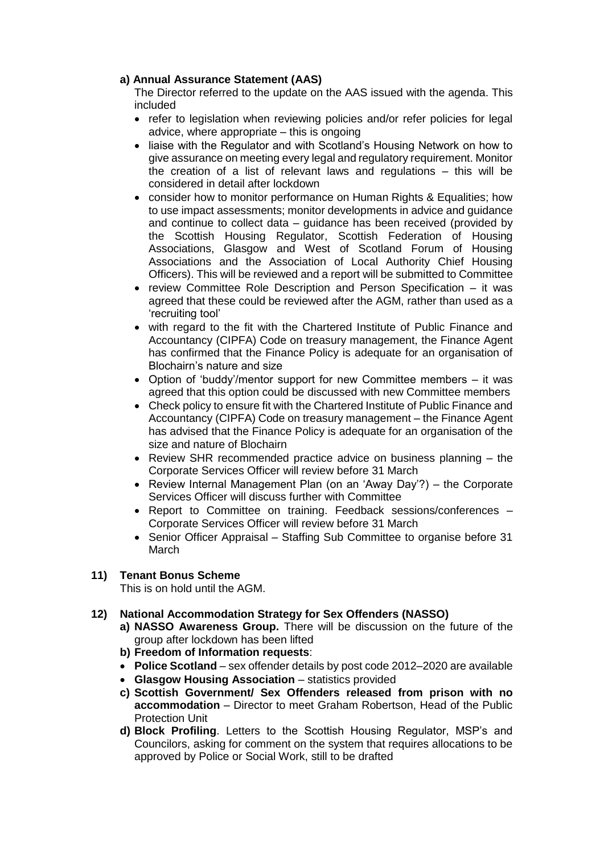## **a) Annual Assurance Statement (AAS)**

The Director referred to the update on the AAS issued with the agenda. This included

- refer to legislation when reviewing policies and/or refer policies for legal advice, where appropriate – this is ongoing
- liaise with the Regulator and with Scotland's Housing Network on how to give assurance on meeting every legal and regulatory requirement. Monitor the creation of a list of relevant laws and regulations – this will be considered in detail after lockdown
- consider how to monitor performance on Human Rights & Equalities; how to use impact assessments; monitor developments in advice and guidance and continue to collect data – guidance has been received (provided by the Scottish Housing Regulator, Scottish Federation of Housing Associations, Glasgow and West of Scotland Forum of Housing Associations and the Association of Local Authority Chief Housing Officers). This will be reviewed and a report will be submitted to Committee
- review Committee Role Description and Person Specification it was agreed that these could be reviewed after the AGM, rather than used as a 'recruiting tool'
- with regard to the fit with the Chartered Institute of Public Finance and Accountancy (CIPFA) Code on treasury management, the Finance Agent has confirmed that the Finance Policy is adequate for an organisation of Blochairn's nature and size
- Option of 'buddy'/mentor support for new Committee members it was agreed that this option could be discussed with new Committee members
- Check policy to ensure fit with the Chartered Institute of Public Finance and Accountancy (CIPFA) Code on treasury management – the Finance Agent has advised that the Finance Policy is adequate for an organisation of the size and nature of Blochairn
- Review SHR recommended practice advice on business planning the Corporate Services Officer will review before 31 March
- Review Internal Management Plan (on an 'Away Day'?) the Corporate Services Officer will discuss further with Committee
- Report to Committee on training. Feedback sessions/conferences Corporate Services Officer will review before 31 March
- Senior Officer Appraisal Staffing Sub Committee to organise before 31 March

### **11) Tenant Bonus Scheme**

This is on hold until the AGM.

# **12) National Accommodation Strategy for Sex Offenders (NASSO)**

- **a) NASSO Awareness Group.** There will be discussion on the future of the group after lockdown has been lifted
- **b) Freedom of Information requests**:
- **Police Scotland** sex offender details by post code 2012–2020 are available
- **Glasgow Housing Association** statistics provided
- **c) Scottish Government/ Sex Offenders released from prison with no accommodation** – Director to meet Graham Robertson, Head of the Public Protection Unit
- **d) Block Profiling**. Letters to the Scottish Housing Regulator, MSP's and Councilors, asking for comment on the system that requires allocations to be approved by Police or Social Work, still to be drafted